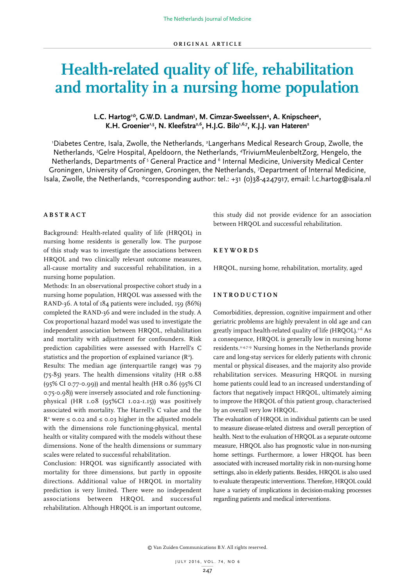# **Health-related quality of life, rehabilitation and mortality in a nursing home population**

# L.C. Hartog<sup>1:\*</sup>, G.W.D. Landman<sup>3</sup>, M. Cimzar-Sweelssen<sup>4</sup>, A. Knipscheer<sup>4</sup>, K.H. Groenier<sup>1,5</sup>, N. Kleefstra<sup>2,6</sup>, H.J.G. Bilo<sup>1,6,7</sup>, K.J.J. van Hateren<sup>2</sup>

'Diabetes Centre, Isala, Zwolle, the Netherlands, <sup>2</sup>Langerhans Medical Research Group, Zwolle, the Netherlands, 3 Gelre Hospital, Apeldoorn, the Netherlands, 4 TriviumMeulenbeltZorg, Hengelo, the Netherlands, Departments of <sup>5</sup> General Practice and <sup>6</sup> Internal Medicine, University Medical Center Groningen, University of Groningen, Groningen, the Netherlands, 7 Department of Internal Medicine, Isala, Zwolle, the Netherlands, \*corresponding author: tel.: +31 (0)38-4247917, email: l.c.hartog@isala.nl

## **ABSTRACT**

Background: Health-related quality of life (HRQOL) in nursing home residents is generally low. The purpose of this study was to investigate the associations between HRQOL and two clinically relevant outcome measures, all-cause mortality and successful rehabilitation, in a nursing home population.

Methods: In an observational prospective cohort study in a nursing home population, HRQOL was assessed with the RAND-36. A total of 184 patients were included, 159 (86%) completed the RAND-36 and were included in the study. A Cox proportional hazard model was used to investigate the independent association between HRQOL, rehabilitation and mortality with adjustment for confounders. Risk prediction capabilities were assessed with Harrell's C statistics and the proportion of explained variance ( $\mathsf{R}^2$ ).

Results: The median age (interquartile range) was 79  $(75-85)$  years. The health dimensions vitality (HR  $0.88$ ) (95% CI 0.77-0.99)) and mental health (HR 0.86 (95% CI 0.75-0.98)) were inversely associated and role functioningphysical (HR 1.08 (95%CI 1.02-1.15)) was positively associated with mortality. The Harrell's C value and the  $R^2$  were  $\leq$  0.02 and  $\leq$  0.03 higher in the adjusted models with the dimensions role functioning-physical, mental health or vitality compared with the models without these dimensions. None of the health dimensions or summary scales were related to successful rehabilitation.

Conclusion: HRQOL was significantly associated with mortality for three dimensions, but partly in opposite directions. Additional value of HRQOL in mortality prediction is very limited. There were no independent associations between HRQOL and successful rehabilitation. Although HRQOL is an important outcome,

this study did not provide evidence for an association between HRQOL and successful rehabilitation.

## **KEYWORDS**

HRQOL, nursing home, rehabilitation, mortality, aged

# **INTRODUCTION**

Comorbidities, depression, cognitive impairment and other geriatric problems are highly prevalent in old age and can greatly impact health-related quality of life (HRQOL).<sup>1-6</sup> As a consequence, HRQOL is generally low in nursing home residents.2-4,7-9 Nursing homes in the Netherlands provide care and long-stay services for elderly patients with chronic mental or physical diseases, and the majority also provide rehabilitation services. Measuring HRQOL in nursing home patients could lead to an increased understanding of factors that negatively impact HRQOL, ultimately aiming to improve the HRQOL of this patient group, characterised by an overall very low HRQOL.

The evaluation of HRQOL in individual patients can be used to measure disease-related distress and overall perception of health. Next to the evaluation of HRQOL as a separate outcome measure, HRQOL also has prognostic value in non-nursing home settings. Furthermore, a lower HRQOL has been associated with increased mortality risk in non-nursing home settings, also in elderly patients. Besides, HRQOL is also used to evaluate therapeutic interventions. Therefore, HRQOL could have a variety of implications in decision-making processes regarding patients and medical interventions.

© Van Zuiden Communications B.V. All rights reserved.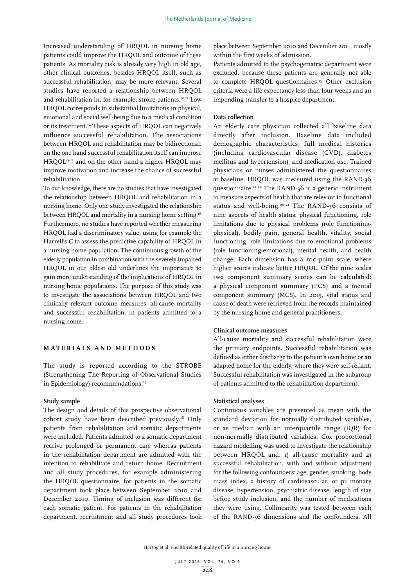Increased understanding of HRQOL in nursing home patients could improve the HRQOL and outcome of these patients. As mortality risk is already very high in old age, other clinical outcomes, besides HRQOL itself, such as successful rehabilitation, may be more relevant. Several studies have reported a relationship between HRQOL and rehabilitation in, for example, stroke patients.<sup>10,11</sup> Low HRQOL corresponds to substantial limitations in physical, emotional and social well-being due to a medical condition or its treatment.<sup>12</sup> These aspects of HRQOL can negatively influence successful rehabilitation. The associations between HRQOL and rehabilitation may be bidirectional: on the one hand successful rehabilitation itself can improve HRQOL13-15 and on the other hand a higher HRQOL may improve motivation and increase the chance of successful rehabilitation.

To our knowledge, there are no studies that have investigated the relationship between HRQOL and rehabilitation in a nursing home. Only one study investigated the relationship between HRQOL and mortality in a nursing home setting.<sup>16</sup> Furthermore, no studies have reported whether measuring HRQOL had a discriminatory value, using for example the Harrell's C to assess the predictive capability of HRQOL in a nursing home population. The continuous growth of the elderly population in combination with the severely impaired HRQOL in our oldest old underlines the importance to gain more understanding of the implications of HRQOL in nursing home populations. The purpose of this study was to investigate the associations between HRQOL and two clinically relevant outcome measures, all-cause mortality and successful rehabilitation, in patients admitted to a nursing home.

# **MATERIALS AND METHODS**

The study is reported according to the STROBE (Strengthening The Reporting of Observational Studies in Epidemiology) recommendations.<sup>17</sup>

#### **Study sample**

The design and details of this prospective observational cohort study have been described previously.18 Only patients from rehabilitation and somatic departments were included. Patients admitted to a somatic department receive prolonged or permanent care whereas patients in the rehabilitation department are admitted with the intention to rehabilitate and return home. Recruitment and all study procedures, for example administering the HRQOL questionnaire, for patients in the somatic department took place between September 2010 and December 2010. Timing of inclusion was different for each somatic patient. For patients in the rehabilitation department, recruitment and all study procedures took

place between September 2010 and December 2011, mostly within the first weeks of admission.

Patients admitted to the psychogeriatric department were excluded, because these patients are generally not able to complete HRQOL questionnaires.<sup>19</sup> Other exclusion criteria were a life expectancy less than four weeks and an impending transfer to a hospice department.

# **Data collection**

An elderly care physician collected all baseline data directly after inclusion. Baseline data included demographic characteristics, full medical histories (including cardiovascular disease (CVD), diabetes mellitus and hypertension), and medication use. Trained physicians or nurses administered the questionnaires at baseline. HRQOL was measured using the RAND-36 questionnaire.<sup>12,20</sup> The RAND-36 is a generic instrument to measure aspects of health that are relevant to functional status and well-being.20,21 The RAND-36 consists of nine aspects of health status: physical functioning, role limitations due to physical problems (role functioningphysical), bodily pain, general health, vitality, social functioning, role limitations due to emotional problems (role functioning-emotional), mental health, and health change. Each dimension has a 100-point scale, where higher scores indicate better HRQOL. Of the nine scales two component summary scores can be calculated: a physical component summary (PCS) and a mental component summary (MCS). In 2015, vital status and cause of death were retrieved from the records maintained by the nursing home and general practitioners.

# **Clinical outcome measures**

All-cause mortality and successful rehabilitation were the primary endpoints. Successful rehabilitation was defined as either discharge to the patient's own home or an adapted home for the elderly, where they were self-reliant. Successful rehabilitation was investigated in the subgroup of patients admitted to the rehabilitation department.

## **Statistical analyses**

Continuous variables are presented as mean with the standard deviation for normally distributed variables, or as median with an interquartile range (IQR) for non-normally distributed variables. Cox proportional hazard modelling was used to investigate the relationship between HRQOL and: 1) all-cause mortality and 2) successful rehabilitation, with and without adjustment for the following confounders: age, gender, smoking, body mass index, a history of cardiovascular, or pulmonary disease, hypertension, psychiatric disease, length of stay before study inclusion, and the number of medications they were using. Collinearity was tested between each of the RAND-36 dimensions and the confounders. All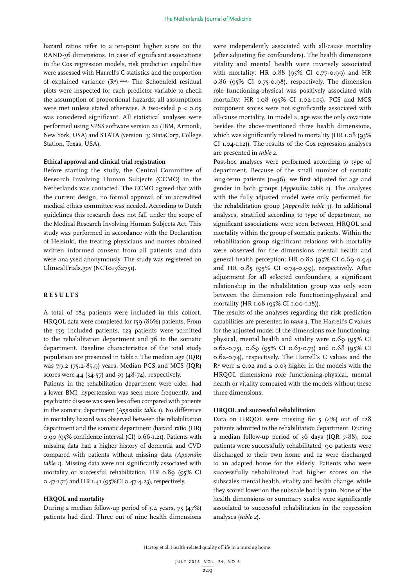hazard ratios refer to a ten-point higher score on the RAND-36 dimensions. In case of significant associations in the Cox regression models, risk prediction capabilities were assessed with Harrell's C statistics and the proportion of explained variance  $(R^2)$ .<sup>22,23</sup> The Schoenfeld residual plots were inspected for each predictor variable to check the assumption of proportional hazards; all assumptions were met unless stated otherwise. A two-sided p < 0.05 was considered significant. All statistical analyses were performed using SPSS software version 22 (IBM, Armonk, New York, USA) and STATA (version 13; StataCorp, College Station, Texas, USA).

#### **Ethical approval and clinical trial registration**

Before starting the study, the Central Committee of Research Involving Human Subjects (CCMO) in the Netherlands was contacted. The CCMO agreed that with the current design, no formal approval of an accredited medical ethics committee was needed. According to Dutch guidelines this research does not fall under the scope of the Medical Research Involving Human Subjects Act. This study was performed in accordance with the Declaration of Helsinki, the treating physicians and nurses obtained written informed consent from all patients and data were analysed anonymously. The study was registered on ClinicalTrials.gov (NCT01362751).

## **RESULTS**

A total of 184 patients were included in this cohort. HRQOL data were completed for 159 (86%) patients. From the 159 included patients, 123 patients were admitted to the rehabilitation department and 36 to the somatic department. Baseline characteristics of the total study population are presented in *table 1*. The median age (IQR) was 79.2 (75.2-85.9) years. Median PCS and MCS (IQR) scores were  $44$  (34-57) and 59 (48-74), respectively.

Patients in the rehabilitation department were older, had a lower BMI, hypertension was seen more frequently, and psychiatric disease was seen less often compared with patients in the somatic department (*Appendix table 1*). No difference in mortality hazard was observed between the rehabilitation department and the somatic department (hazard ratio (HR) 0.90 (95% confidence interval (CI) 0.66-1.21). Patients with missing data had a higher history of dementia and CVD compared with patients without missing data (*Appendix table 1*). Missing data were not significantly associated with mortality or successful rehabilitation, HR 0.89 (95% CI 0.47-1.71) and HR 1.41 (95%CI 0.47-4.23), respectively.

## **HRQOL and mortality**

During a median follow-up period of 3.4 years, 75 (47%) patients had died. Three out of nine health dimensions were independently associated with all-cause mortality (after adjusting for confounders). The health dimensions vitality and mental health were inversely associated with mortality: HR 0.88 (95% CI 0.77-0.99) and HR 0.86 (95% CI 0.75-0.98), respectively. The dimension role functioning-physical was positively associated with mortality: HR 1.08 (95% CI 1.02-1.15). PCS and MCS component scores were not significantly associated with all-cause mortality. In model 2, age was the only covariate besides the above-mentioned three health dimensions, which was significantly related to mortality (HR 1.08 (95% CI 1.04-1.12)). The results of the Cox regression analyses are presented in *table 2*.

Post-hoc analyses were performed according to type of department. Because of the small number of somatic long-term patients (n=36), we first adjusted for age and gender in both groups (*Appendix table 2*). The analyses with the fully adjusted model were only performed for the rehabilitation group (*Appendix table 3*). In additional analyses, stratified according to type of department, no significant associations were seen between HRQOL and mortality within the group of somatic patients. Within the rehabilitation group significant relations with mortality were observed for the dimensions mental health and general health perception: HR 0.80 (95% CI 0.69-0.94) and HR 0.85 (95% CI 0.74-0.99), respectively. After adjustment for all selected confounders, a significant relationship in the rehabilitation group was only seen between the dimension role functioning-physical and mortality (HR 1.08 (95% CI 1.00-1.18)).

The results of the analyses regarding the risk prediction capabilities are presented in *table 3*. The Harrell's C values for the adjusted model of the dimensions role functioningphysical, mental health and vitality were 0.69 (95% CI 0.62-0.75), 0.69 (95% CI 0.63-0.75) and 0.68 (95% CI 0.62-0.74), respectively. The Harrell's C values and the  $R^2$  were  $\leq$  0.02 and  $\leq$  0.03 higher in the models with the HRQOL dimensions role functioning-physical, mental health or vitality compared with the models without these three dimensions.

## **HRQOL and successful rehabilitation**

Data on HRQOL were missing for 5 (4%) out of 128 patients admitted to the rehabilitation department. During a median follow-up period of 36 days (IQR 7-88), 102 patients were successfully rehabilitated; 90 patients were discharged to their own home and 12 were discharged to an adapted home for the elderly. Patients who were successfully rehabilitated had higher scores on the subscales mental health, vitality and health change, while they scored lower on the subscale bodily pain. None of the health dimensions or summary scales were significantly associated to successful rehabilitation in the regression analyses (*table 2*).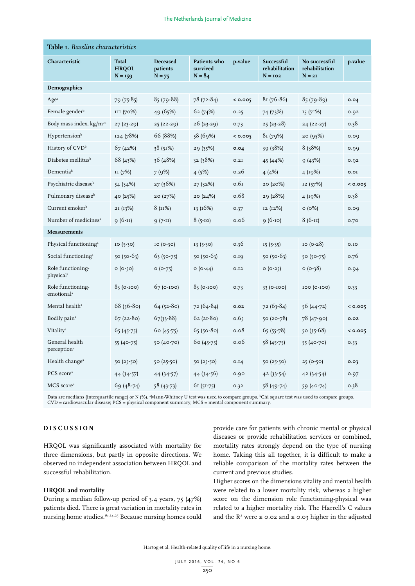| Table I. Baseline characteristics           |                                    |                                         |                                      |         |                                           |                                             |         |
|---------------------------------------------|------------------------------------|-----------------------------------------|--------------------------------------|---------|-------------------------------------------|---------------------------------------------|---------|
| Characteristic                              | Total<br><b>HRQOL</b><br>$N = 159$ | <b>Deceased</b><br>patients<br>$N = 75$ | Patients who<br>survived<br>$N = 84$ | p-value | Successful<br>rehabilitation<br>$N = 102$ | No successful<br>rehabilitation<br>$N = 2I$ | p-value |
| <b>Demographics</b>                         |                                    |                                         |                                      |         |                                           |                                             |         |
| Age <sup>a</sup>                            | $79(75-85)$                        | $85(79-88)$                             | $78(72-84)$                          | 0.005   | $81(76-86)$                               | $85(79-89)$                                 | 0.04    |
| Female gender <sup>b</sup>                  | III (70%)                          | 49 (65%)                                | 62(74%)                              | 0.25    | 74 (73%)                                  | 15(71%)                                     | 0.92    |
| Body mass index, kg/m <sup>2a</sup>         | $27(23-29)$                        | $25(22-29)$                             | $26(23-29)$                          | 0.73    | 25 (23-28)                                | 24 (22-27)                                  | 0.38    |
| Hypertension <sup>b</sup>                   | 124(78%)                           | 66 (88%)                                | 58 (69%)                             | 0.005   | 81(79%)                                   | 20(95%)                                     | 0.09    |
| History of CVD <sup>b</sup>                 | 67(42%)                            | 38 (51%)                                | 29 (35%)                             | 0.04    | 39 (38%)                                  | 8(38%)                                      | 0.99    |
| Diabetes mellitus <sup>b</sup>              | 68 (43%)                           | 36(48%)                                 | 32 (38%)                             | 0.2I    | 45 (44%)                                  | 9(43%)                                      | 0.92    |
| Dementiab                                   | II $(7%)$                          | 7 (9%)                                  | 4(5%)                                | 0.26    | 4(4%)                                     | 4(19%)                                      | 0.01    |
| Psychiatric disease <sup>b</sup>            | 54 (34%)                           | 27 (36%)                                | 27 (32%)                             | 0.61    | 20(20%)                                   | 12 (57%)                                    | 0.005   |
| Pulmonary disease <sup>b</sup>              | 40 (25%)                           | 20(27%)                                 | 20(24%)                              | 0.68    | 29 (28%)                                  | 4(19%)                                      | 0.38    |
| Current smoker <sup>b</sup>                 | 21 (13%)                           | 8(11%)                                  | 13(16%)                              | 0.37    | 12 (12%)                                  | $\circ$ (0%)                                | 0.09    |
| Number of medicines <sup>a</sup>            | $9(6-11)$                          | $9(7-I)$                                | $8(5-10)$                            | 0.06    | $9(6-10)$                                 | $8(6-I)$                                    | 0.70    |
| Measurements                                |                                    |                                         |                                      |         |                                           |                                             |         |
| Physical functioning <sup>a</sup>           | $IO(5-30)$                         | $IO (0-30)$                             | $13(5-30)$                           | 0.36    | $15(5-35)$                                | $IO (0-28)$                                 | O.I.O   |
| Social functioning <sup>a</sup>             | $50(50-63)$                        | $63(50-75)$                             | $50(50-63)$                          | 0.19    | $50(50-63)$                               | $50(50-75)$                                 | 0.76    |
| Role functioning-<br>physical <sup>a</sup>  | $O (O-5O)$                         | $O (O-75)$                              | $O (O - 44)$                         | 0.12    | $O (O-25)$                                | o (o-38)                                    | 0.94    |
| Role functioning-<br>emotional <sup>a</sup> | $83(0-100)$                        | $67(0-100)$                             | $83(0-100)$                          | 0.73    | 33 (0-100)                                | 100 (0-100)                                 | 0.33    |
| Mental health <sup>a</sup>                  | $68(56-80)$                        | $64(52-80)$                             | $72(64-84)$                          | 0.02    | $72(63-84)$                               | 56 (44-72)                                  | 0.005   |
| Bodily pain <sup>a</sup>                    | $67(22-80)$                        | $67(33-88)$                             | $62(21-80)$                          | 0.65    | $50(20-78)$                               | 78 (47-90)                                  | 0.02    |
| Vitality <sup>a</sup>                       | 65 (45-75)                         | $60(45-75)$                             | $65(50-80)$                          | 0.08    | 65 (55-78)                                | $50(35-68)$                                 | 0.005   |
| General health<br>perception <sup>a</sup>   | $55(40-75)$                        | 50 (40-70)                              | 60 (45-75)                           | 0.06    | 58 (45-75)                                | 55 (40-70)                                  | 0.53    |
| Health change <sup>a</sup>                  | $50(25-50)$                        | 50 (25-50)                              | $50(25-50)$                          | 0.14    | $50(25-50)$                               | $25(0-50)$                                  | 0.03    |
| PCS score <sup>a</sup>                      | 44 (34-57)                         | 44 (34-57)                              | 44 (34-56)                           | 0.90    | $42(33-54)$                               | 42 (34-54)                                  | 0.97    |
| MCS score <sup>a</sup>                      | 69 (48-74)                         | 58 (43-73)                              | $61(51-75)$                          | 0.32    | 58 (49-74)                                | 59 (40-74)                                  | 0.38    |

Data are medians (interquartile range) or N (%). "Mann-Whitney U test was used to compare groups. <sup>b</sup>Chi square test was used to compare groups. CVD = cardiovascular disease; PCS = physical component summary; MCS = mental component summary.

## **D I S C U S S I O N**

HRQOL was significantly associated with mortality for three dimensions, but partly in opposite directions. We observed no independent association between HRQOL and successful rehabilitation.

#### **HRQOL and mortality**

During a median follow-up period of 3.4 years, 75 (47%) patients died. There is great variation in mortality rates in nursing home studies.16,24,25 Because nursing homes could provide care for patients with chronic mental or physical diseases or provide rehabilitation services or combined, mortality rates strongly depend on the type of nursing home. Taking this all together, it is difficult to make a reliable comparison of the mortality rates between the current and previous studies.

Higher scores on the dimensions vitality and mental health were related to a lower mortality risk, whereas a higher score on the dimension role functioning-physical was related to a higher mortality risk. The Harrell's C values and the  $R^2$  were  $\leq$  0.02 and  $\leq$  0.03 higher in the adjusted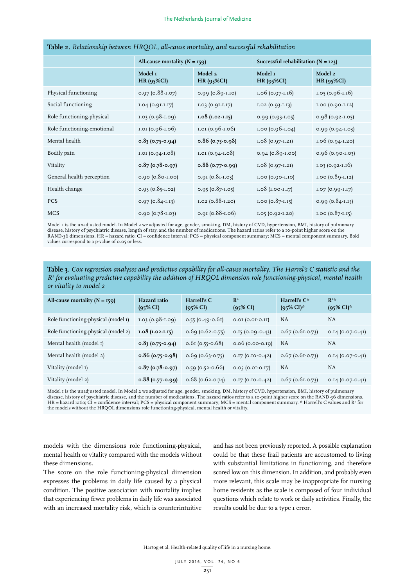|                            | All-cause mortality $(N = 159)$ |                         | Successful rehabilitation $(N = 123)$ |                        |  |
|----------------------------|---------------------------------|-------------------------|---------------------------------------|------------------------|--|
|                            | Model 1<br>HR $(95\%CI)$        | Model 2<br>$HR(95\%CI)$ | Model 1<br>$HR(95\%CI)$               | Model 2<br>HR (95%CI)  |  |
| Physical functioning       | $0.97(0.88 - 1.07)$             | $0.99$ (0.89-1.10)      | $1.06$ (0.97- $1.16$ )                | $1.05(0.96 - 1.16)$    |  |
| Social functioning         | $1.04 (0.9I-I.I7)$              | $1.03 (0.9I-I.I7)$      | $1.02 (0.93 - 1.13)$                  | $1.00 (0.90 - 1.12)$   |  |
| Role functioning-physical  | 1.03 (0.98-1.09)                | $1.08$ (1.02-1.15)      | $0.99$ (0.93-1.05)                    | $0.98$ (0.92-1.05)     |  |
| Role functioning-emotional | 1.01 (0.96-1.06)                | 1.01 (0.96-1.06)        | 1.00 (0.96-1.04)                      | $0.99$ (0.94-1.03)     |  |
| Mental health              | $0.83$ (0.75-0.94)              | $0.86$ (0.75-0.98)      | $1.08$ (0.97- $1.21$ )                | $1.06$ (0.94- $1.20$ ) |  |
| Bodily pain                | $1.01 (0.94 - 1.08)$            | $1.01 (0.94 - 1.08)$    | $0.94(0.89 - 1.00)$                   | $0.96$ (0.90-1.03)     |  |
| Vitality                   | $0.87$ (0.78-0.97)              | $0.88$ (0.77-0.99)      | $1.08$ (0.97- $1.21$ )                | $1.03(0.92 - 1.16)$    |  |
| General health perception  | $0.90 (0.80 - 1.00)$            | 0.91 (0.81-1.03)        | $1.00 (0.90 - 1.10)$                  | $1.00 (0.89 - 1.12)$   |  |
| Health change              | $0.93(0.85-1.02)$               | $0.95(0.87 - 1.05)$     | $1.08$ (1.00-1.17)                    | $1.07(0.99 - 1.17)$    |  |
| <b>PCS</b>                 | $0.97(0.84 - 1.13)$             | $I.02$ (0.88- $I.20$ )  | $1.00 (0.87 - 1.15)$                  | $0.99$ (0.84-1.15)     |  |
| <b>MCS</b>                 | $0.90 (0.78 - 1.03)$            | $0.91$ (0.88-1.06)      | $1.05(0.92 - 1.20)$                   | $1.00 (0.87 - 1.15)$   |  |

| Table 2. Relationship between HRQOL, all-cause mortality, and successful rehabilitation |
|-----------------------------------------------------------------------------------------|
|-----------------------------------------------------------------------------------------|

Model 1 is the unadjusted model. In Model 2 we adjusted for age, gender, smoking, DM, history of CVD, hypertension, BMI, history of pulmonary disease, history of psychiatric disease, length of stay, and the number of medications. The hazard ratios refer to a 10-point higher score on the RAND-36 dimensions. HR = hazard ratio; CI = confidence interval; PCS = physical component summary; MCS = mental component summary. Bold values correspond to a p-value of 0.05 or less.

**Table 3.** *Cox regression analyses and predictive capability for all-cause mortality. The Harrel's C statistic and the R2 for evaluating predictive capability the addition of HRQOL dimension role functioning-physical, mental health or vitality to model 2*

| All-cause mortality $(N = 159)$     | Hazard ratio<br>$(95\% \text{ CI})$ | Harrell's C<br>$(95\% \text{ CI})$ | $\mathbb{R}^2$<br>$(95\% \text{ CI})$ | Harrell's $C^*$<br>$(95\% \text{ CI})^*$ | $\mathbb{R}^{2\star}$<br>$(95\% \text{ CI})^*$ |
|-------------------------------------|-------------------------------------|------------------------------------|---------------------------------------|------------------------------------------|------------------------------------------------|
| Role functioning-physical (model 1) | $1.03(0.98-1.09)$                   | $0.55$ (0.49-0.61)                 | $(11.0 - 10.01)$ 10.0                 | NA                                       | NA                                             |
| Role functioning-physical (model 2) | $1.08$ (1.02-1.15)                  | $0.69(0.62 - 0.75)$                | $0.15(0.09 - 0.43)$                   | $0.67(0.61-0.73)$                        | $0.14(0.07-0.41)$                              |
| Mental health (model 1)             | $0.83(0.75-0.94)$                   | $0.61$ (0.55-0.68)                 | $0.06$ (0.00-0.19)                    | NA                                       | NA                                             |
| Mental health (model 2)             | $0.86$ (0.75-0.98)                  | $0.69(0.63-0.75)$                  | $0.17(0.10-0.42)$                     | $0.67$ (0.61-0.73)                       | $0.14(0.07-0.41)$                              |
| Vitality (model 1)                  | $0.87$ (0.78-0.97)                  | $0.59$ (0.52-0.66)                 | $0.05(0.01-0.17)$                     | NA.                                      | NA                                             |
| Vitality (model 2)                  | $0.88$ (0.77-0.99)                  | $0.68$ (0.62-0.74)                 | $0.17(0.10-0.42)$                     | $0.67$ (0.61-0.73)                       | $0.14(0.07-0.41)$                              |

Model 1 is the unadjusted model. In Model 2 we adjusted for age, gender, smoking, DM, history of CVD, hypertension, BMI, history of pulmonary disease, history of psychiatric disease, and the number of medications. The hazard ratios refer to a 10-point higher score on the RAND-36 dimensions.<br>HR = hazard ratio; CI = confidence interval; PCS = physical component su the models without the HRQOL dimensions role functioning-physical, mental health or vitality.

models with the dimensions role functioning-physical, mental health or vitality compared with the models without these dimensions.

The score on the role functioning-physical dimension expresses the problems in daily life caused by a physical condition. The positive association with mortality implies that experiencing fewer problems in daily life was associated with an increased mortality risk, which is counterintuitive and has not been previously reported. A possible explanation could be that these frail patients are accustomed to living with substantial limitations in functioning, and therefore scored low on this dimension. In addition, and probably even more relevant, this scale may be inappropriate for nursing home residents as the scale is composed of four individual questions which relate to work or daily activities. Finally, the results could be due to a type 1 error.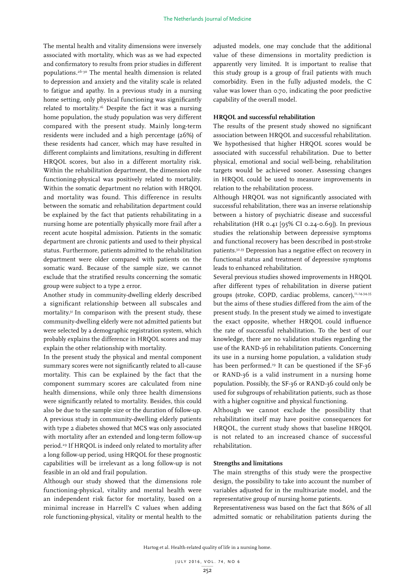The mental health and vitality dimensions were inversely associated with mortality, which was as we had expected and confirmatory to results from prior studies in different populations.26-30 The mental health dimension is related to depression and anxiety and the vitality scale is related to fatigue and apathy. In a previous study in a nursing home setting, only physical functioning was significantly related to mortality.<sup>16</sup> Despite the fact it was a nursing home population, the study population was very different compared with the present study. Mainly long-term residents were included and a high percentage (26%) of these residents had cancer, which may have resulted in different complaints and limitations, resulting in different HRQOL scores, but also in a different mortality risk. Within the rehabilitation department, the dimension role functioning-physical was positively related to mortality. Within the somatic department no relation with HRQOL and mortality was found. This difference in results between the somatic and rehabilitation department could be explained by the fact that patients rehabilitating in a nursing home are potentially physically more frail after a recent acute hospital admission. Patients in the somatic department are chronic patients and used to their physical status. Furthermore, patients admitted to the rehabilitation department were older compared with patients on the somatic ward. Because of the sample size, we cannot exclude that the stratified results concerning the somatic group were subject to a type 2 error.

Another study in community-dwelling elderly described a significant relationship between all subscales and mortality.31 In comparison with the present study, these community-dwelling elderly were not admitted patients but were selected by a demographic registration system, which probably explains the difference in HRQOL scores and may explain the other relationship with mortality.

In the present study the physical and mental component summary scores were not significantly related to all-cause mortality. This can be explained by the fact that the component summary scores are calculated from nine health dimensions, while only three health dimensions were significantly related to mortality. Besides, this could also be due to the sample size or the duration of follow-up. A previous study in community-dwelling elderly patients with type 2 diabetes showed that MCS was only associated with mortality after an extended and long-term follow-up period.29 If HRQOL is indeed only related to mortality after a long follow-up period, using HRQOL for these prognostic capabilities will be irrelevant as a long follow-up is not feasible in an old and frail population.

Although our study showed that the dimensions role functioning-physical, vitality and mental health were an independent risk factor for mortality, based on a minimal increase in Harrell's C values when adding role functioning-physical, vitality or mental health to the

adjusted models, one may conclude that the additional value of these dimensions in mortality prediction is apparently very limited. It is important to realise that this study group is a group of frail patients with much comorbidity. Even in the fully adjusted models, the C value was lower than 0.70, indicating the poor predictive capability of the overall model.

# **HRQOL and successful rehabilitation**

The results of the present study showed no significant association between HRQOL and successful rehabilitation. We hypothesised that higher HRQOL scores would be associated with successful rehabilitation. Due to better physical, emotional and social well-being, rehabilitation targets would be achieved sooner. Assessing changes in HRQOL could be used to measure improvements in relation to the rehabilitation process.

Although HRQOL was not significantly associated with successful rehabilitation, there was an inverse relationship between a history of psychiatric disease and successful rehabilitation (HR 0.41 [95% CI 0.24-0.69]). In previous studies the relationship between depressive symptoms and functional recovery has been described in post-stroke patients.32,33 Depression has a negative effect on recovery in functional status and treatment of depressive symptoms leads to enhanced rehabilitation.

Several previous studies showed improvements in HRQOL after different types of rehabilitation in diverse patient groups (stroke, COPD, cardiac problems, cancer), II, I4, 34, 35 but the aims of these studies differed from the aim of the present study. In the present study we aimed to investigate the exact opposite, whether HRQOL could influence the rate of successful rehabilitation. To the best of our knowledge, there are no validation studies regarding the use of the RAND-36 in rehabilitation patients. Concerning its use in a nursing home population, a validation study has been performed.<sup>19</sup> It can be questioned if the SF-36 or RAND-36 is a valid instrument in a nursing home population. Possibly, the SF-36 or RAND-36 could only be used for subgroups of rehabilitation patients, such as those with a higher cognitive and physical functioning.

Although we cannot exclude the possibility that rehabilitation itself may have positive consequences for HRQOL, the current study shows that baseline HRQOL is not related to an increased chance of successful rehabilitation.

## **Strengths and limitations**

The main strengths of this study were the prospective design, the possibility to take into account the number of variables adjusted for in the multivariate model, and the representative group of nursing home patients.

Representativeness was based on the fact that 86% of all admitted somatic or rehabilitation patients during the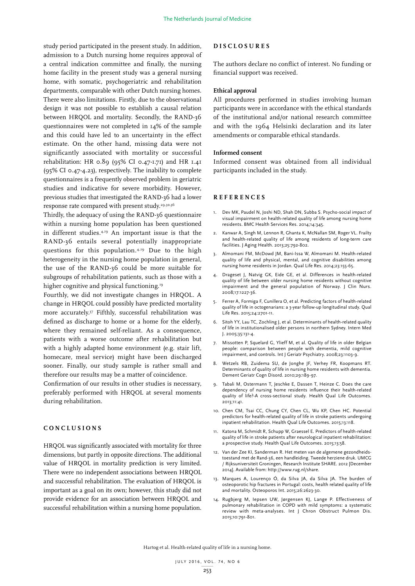study period participated in the present study. In addition, admission to a Dutch nursing home requires approval of a central indication committee and finally, the nursing home facility in the present study was a general nursing home, with somatic, psychogeriatric and rehabilitation departments, comparable with other Dutch nursing homes. There were also limitations. Firstly, due to the observational design it was not possible to establish a causal relation between HRQOL and mortality. Secondly, the RAND-36 questionnaires were not completed in 14% of the sample and this could have led to an uncertainty in the effect estimate. On the other hand, missing data were not significantly associated with mortality or successful rehabilitation: HR 0.89 (95% CI 0.47-1.71) and HR 1.41 (95% CI 0.47-4.23), respectively. The inability to complete questionnaires is a frequently observed problem in geriatric studies and indicative for severe morbidity. However, previous studies that investigated the RAND-36 had a lower response rate compared with present study.29,30,36

Thirdly, the adequacy of using the RAND-36 questionnaire within a nursing home population has been questioned in different studies.4,19 An important issue is that the RAND-36 entails several potentially inappropriate questions for this population.4,19 Due to the high heterogeneity in the nursing home population in general, the use of the RAND-36 could be more suitable for subgroups of rehabilitation patients, such as those with a higher cognitive and physical functioning.<sup>19</sup>

Fourthly, we did not investigate changes in HRQOL. A change in HRQOL could possibly have predicted mortality more accurately.37 Fifthly, successful rehabilitation was defined as discharge to home or a home for the elderly, where they remained self-reliant. As a consequence, patients with a worse outcome after rehabilitation but with a highly adapted home environment (e.g. stair lift, homecare, meal service) might have been discharged sooner. Finally, our study sample is rather small and therefore our results may be a matter of coincidence.

Confirmation of our results in other studies is necessary, preferably performed with HRQOL at several moments during rehabilitation.

## **C O N C L U S I O N S**

HRQOL was significantly associated with mortality for three dimensions, but partly in opposite directions. The additional value of HRQOL in mortality prediction is very limited. There were no independent associations between HRQOL and successful rehabilitation. The evaluation of HRQOL is important as a goal on its own; however, this study did not provide evidence for an association between HRQOL and successful rehabilitation within a nursing home population.

### **DISCLOSURES**

The authors declare no conflict of interest. No funding or financial support was received.

### **Ethical approval**

All procedures performed in studies involving human participants were in accordance with the ethical standards of the institutional and/or national research committee and with the 1964 Helsinki declaration and its later amendments or comparable ethical standards.

#### **Informed consent**

Informed consent was obtained from all individual participants included in the study.

### **REFERENCES**

- 1. Dev MK, Paudel N, Joshi ND, Shah DN, Subba S. Psycho-social impact of visual impairment on health-related quality of life among nursing home residents. BMC Health Services Res. 2014;14:345.
- 2. Kanwar A, Singh M, Lennon R, Ghanta K, McNallan SM, Roger VL. Frailty and health-related quality of life among residents of long-term care facilities. J Aging Health. 2013;25:792-802.
- 3. Almomani FM, McDowd JM, Bani-Issa W, Almomani M. Health-related quality of life and physical, mental, and cognitive disabilities among nursing home residents in Jordan. Qual Life Res. 2014;23:155-65.
- 4. Drageset J, Natvig GK, Eide GE, et al. Differences in health-related quality of life between older nursing home residents without cognitive impairment and the general population of Norway. J Clin Nurs. 2008;17:1227-36.
- 5. Ferrer A, Formiga F, Cunillera O, et al. Predicting factors of health-related quality of life in octogenarians: a 3-year follow-up longitudinal study. Qual Life Res. 2015;24:2701-11.
- 6. Sitoh YY, Lau TC, Zochling J, et al. Determinants of health-related quality of life in institutionalised older persons in northern Sydney. Intern Med J. 2005;35:131-4.
- 7. Missotten P, Squelard G, Ylieff M, et al. Quality of life in older Belgian people: comparison between people with dementia, mild cognitive impairment, and controls. Int J Geriatr Psychiatry. 2008;23:1103-9.
- 8. Wetzels RB, Zuidema SU, de Jonghe JF, Verhey FR, Koopmans RT. Determinants of quality of life in nursing home residents with dementia. Dement Geriatr Cogn Disord. 2010;29:189-97.
- 9. Tabali M, Ostermann T, Jeschke E, Dassen T, Heinze C. Does the care dependency of nursing home residents influence their health-related quality of life?-A cross-sectional study. Health Qual Life Outcomes. 2013;11:41.
- 10. Chen CM, Tsai CC, Chung CY, Chen CL, Wu KP, Chen HC. Potential predictors for health-related quality of life in stroke patients undergoing inpatient rehabilitation. Health Qual Life Outcomes. 2015;13:118.
- 11. Katona M, Schmidt R, Schupp W, Graessel E. Predictors of health-related quality of life in stroke patients after neurological inpatient rehabilitation: a prospective study. Health Qual Life Outcomes. 2015;13:58.
- 12. Van der Zee KI, Sanderman R. Het meten van de algemene gezondheidstoestand met de Rand-36, een handleiding. Tweede herziene druk. UMCG / Rijksuniversiteit Groningen, Research Institute SHARE. 2012 [December 2014]. Available from: http://www.rug.nl/share.
- 13. Marques A, Lourenço Ó, da Silva JA, da Silva JA. The burden of osteoporotic hip fractures in Portugal: costs, health related quality of life and mortality. Osteoporos Int. 2015;26:2623-30.
- 14. Rugbjerg M, Iepsen UW, Jørgensen KJ, Lange P. Effectiveness of pulmonary rehabilitation in COPD with mild symptoms: a systematic review with meta-analyses. Int J Chron Obstruct Pulmon Dis. 2015;10:791-801.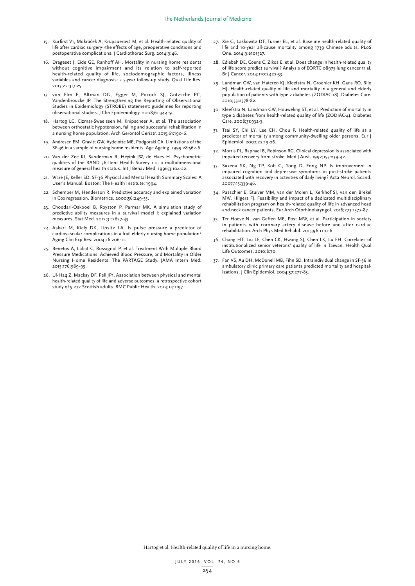- 15. Kurfirst V1, Mokráček A, Krupauerová M, et al. Health-related quality of life after cardiac surgery--the effects of age, preoperative conditions and postoperative complications. J Cardiothorac Surg. 2014;9:46.
- 16. Drageset J, Eide GE, Ranhoff AH. Mortality in nursing home residents without cognitive impairment and its relation to self-reported health-related quality of life, sociodemographic factors, illness variables and cancer diagnosis: a 5-year follow-up study. Qual Life Res. 2013;22:317-25.
- 17. von Elm E, Altman DG, Egger M, Pocock SJ, Gotzsche PC, Vandenbroucke JP. The Strengthening the Reporting of Observational Studies in Epidemiology (STROBE) statement: guidelines for reporting observational studies. J Clin Epidemiology. 2008;61:344-9.
- 18. Hartog LC, Cizmar-Sweelssen M, Knipscheer A, et al. The association between orthostatic hypotension, falling and successful rehabilitation in a nursing home population. Arch Gerontol Geriatr. 2015;61:190-6.
- 19. Andresen EM, Gravitt GW, Aydelotte ME, Podgorski CA. Limitations of the SF-36 in a sample of nursing home residents. Age Ageing. 1999;28:562-6.
- 20. Van der Zee KI, Sanderman R, Heyink JW, de Haes H. Psychometric qualities of the RAND 36-Item Health Survey 1.0: a multidimensional measure of general health status. Int J Behav Med. 1996;3:104-22.
- 21. Ware JE, Keller SD. SF-36 Physical and Mental Health Summary Scales: A User's Manual. Boston: The Health Institute; 1994.
- 22. Schemper M, Henderson R. Predictive accuracy and explained variation in Cox regression. Biometrics. 2000;56:249-55.
- 23. Choodari-Oskooei B, Royston P, Parmar MK. A simulation study of predictive ability measures in a survival model I: explained variation measures. Stat Med. 2012;31:2627-43.
- 24. Askari M, Kiely DK, Lipsitz LA. Is pulse pressure a predictor of cardiovascular complications in a frail elderly nursing home population? Aging Clin Exp Res. 2004;16:206-11.
- 25. Benetos A, Labat C, Rossignol P, et al. Treatment With Multiple Blood Pressure Medications, Achieved Blood Pressure, and Mortality in Older Nursing Home Residents: The PARTAGE Study. JAMA Intern Med. 2015;176:989-95.
- 26. Ul-Haq Z, Mackay DF, Pell JP1. Association between physical and mental health-related quality of life and adverse outcomes; a retrospective cohort study of 5,272 Scottish adults. BMC Public Health. 2014;14:1197.
- 27. Xie G, Laskowitz DT, Turner EL, et al. Baseline health-related quality of life and 10-year all-cause mortality among 1739 Chinese adults. PLoS One. 2014;9:e101527.
- 28. Ediebah DE, Coens C, Zikos E, et al. Does change in health-related quality of life score predict survival? Analysis of EORTC 08975 lung cancer trial. Br J Cancer. 2014;110:2427-33.
- 29. Landman GW, van Hateren KJ, Kleefstra N, Groenier KH, Gans RO, Bilo HJ. Health-related quality of life and mortality in a general and elderly population of patients with type 2 diabetes (ZODIAC-18). Diabetes Care. 2010;33:2378-82.
- 30. Kleefstra N, Landman GW, Houweling ST, et al. Prediction of mortality in type 2 diabetes from health-related quality of life (ZODIAC-4). Diabetes Care. 2008;31:932-3.
- 31. Tsai SY, Chi LY, Lee CH, Chou P. Health-related quality of life as a predictor of mortality among community-dwelling older persons. Eur J Epidemiol. 2007;22:19-26.
- 32. Morris PL, Raphael B, Robinson RG. Clinical depression is associated with impaired recovery from stroke. Med J Aust. 1992;157:239-42.
- 33. Saxena SK, Ng TP, Koh G, Yong D, Fong NP. Is improvement in impaired cognition and depressive symptoms in post-stroke patients associated with recovery in activities of daily living? Acta Neurol. Scand. 2007;115:339-46.
- 34. Passchier E, Stuiver MM, van der Molen L, Kerkhof SI, van den Brekel MW, Hilgers FJ. Feasibility and impact of a dedicated multidisciplinary rehabilitation program on health-related quality of life in advanced head and neck cancer patients. Eur Arch Otorhinolaryngol. 2016;273:1577-87.
- 35. Ter Hoeve N, van Geffen ME, Post MW, et al. Participation in society in patients with coronary artery disease before and after cardiac rehabilitation. Arch Phys Med Rehabil. 2015;96:1110-6.
- 36. Chang HT, Liu LF, Chen CK, Hwang SJ, Chen LK, Lu FH. Correlates of institutionalized senior veterans' quality of life in Taiwan. Health Qual Life Outcomes. 2010;8:70.
- 37. Fan VS, Au DH, McDonell MB, Fihn SD. Intraindividual change in SF-36 in ambulatory clinic primary care patients predicted mortality and hospitalizations. J Clin Epidemiol. 2004;57:277-83.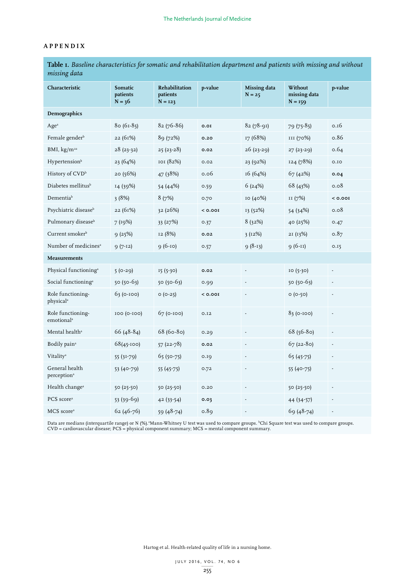# **APPENDIX**

**Table 1.** *Baseline characteristics for somatic and rehabilitation department and patients with missing and without missing data* 

| Characteristic                              | Somatic<br>patients<br>$N = 36$ | <b>Rehabilitation</b><br>patients<br>$N = 123$ | p-value   | Missing data<br>$N = 25$ | Without<br>missing data<br>$N = 159$ | p-value                  |
|---------------------------------------------|---------------------------------|------------------------------------------------|-----------|--------------------------|--------------------------------------|--------------------------|
| Demographics                                |                                 |                                                |           |                          |                                      |                          |
| Age <sup>a</sup>                            | 80 (61-85)                      | $82(76-86)$                                    | 0.01      | 82 (78-91)               | 79 (75-85)                           | 0.16                     |
| Female gender <sup>b</sup>                  | 22 (61%)                        | 89 (72%)                                       | 0.20      | 17 (68%)                 | ш (70%)                              | 0.86                     |
| BMI, $kg/m^{2a}$                            | $28(23-32)$                     | $25(23-28)$                                    | 0.02      | $26(23-29)$              | $27(23-29)$                          | 0.64                     |
| Hypertension <sup>b</sup>                   | 23 (64%)                        | 101 (82%)                                      | 0.02      | 23 (92%)                 | 124 (78%)                            | 0.10                     |
| History of CVD <sup>b</sup>                 | 20 (56%)                        | 47 (38%)                                       | 0.06      | 16 (64%)                 | 67(42%)                              | 0.04                     |
| Diabetes mellitus <sup>b</sup>              | 14 (39%)                        | 54 (44%)                                       | 0.59      | 6(24%)                   | 68 (43%)                             | 0.08                     |
| Dementiab                                   | 3(8%)                           | 8(7%)                                          | 0.70      | 10 (40%)                 | II (7%)                              | < 0.001                  |
| Psychiatric disease <sup>b</sup>            | 22(61%)                         | 32(26%)                                        | < 0.001   | 13 (52%)                 | 54 (34%)                             | 0.08                     |
| Pulmonary disease <sup>b</sup>              | 7(19%)                          | 33 (27%)                                       | 0.37      | 8(32%)                   | 40 (25%)                             | 0.47                     |
| Current smoker <sup>b</sup>                 | 9(25%)                          | 12 (8%)                                        | 0.02      | 3(12%)                   | 21 (13%)                             | 0.87                     |
| Number of medicines <sup>a</sup>            | $9(7-12)$                       | $9(6-10)$                                      | 0.57      | $9(8-13)$                | $9(6-11)$                            | 0.15                     |
| <b>Measurements</b>                         |                                 |                                                |           |                          |                                      |                          |
| Physical functioning <sup>a</sup>           | $5(0-29)$                       | 15 (5-30)                                      | 0.02      | $\blacksquare$           | $IO(5-30)$                           | ÷,                       |
| Social functioning <sup>a</sup>             | $50(50-63)$                     | $50(50-63)$                                    | 0.99      |                          | 50 (50-63)                           |                          |
| Role functioning-<br>physical <sup>a</sup>  | $63 (0-100)$                    | $O (O-25)$                                     | $<$ 0.00I | ÷,                       | $0 (0-50)$                           | $\overline{\phantom{a}}$ |
| Role functioning-<br>emotional <sup>a</sup> | IOO (0-IOO)                     | $67$ (0-100)                                   | O.I2      |                          | $83(0-100)$                          | ÷,                       |
| Mental health <sup>a</sup>                  | 66 (48-84)                      | 68 (60-80)                                     | 0.29      |                          | $68(56-80)$                          |                          |
| Bodily pain <sup>a</sup>                    | 68(45-100)                      | $57(22-78)$                                    | 0.02      |                          | $67(22-80)$                          | ÷,                       |
| Vitality <sup>a</sup>                       | $55(31-79)$                     | $65(50-75)$                                    | 0.19      |                          | $65(45-75)$                          |                          |
| General health<br>perception <sup>a</sup>   | 53 (40-79)                      | 55 (45-75)                                     | 0.72      |                          | $55(40-75)$                          | ÷,                       |
| Health change <sup>a</sup>                  | $50(25-50)$                     | $50(25-50)$                                    | 0.20      |                          | $50(25-50)$                          |                          |
| PCS score <sup>a</sup>                      | $53(39-69)$                     | 42 (33-54)                                     | 0.03      |                          | 44 (34-57)                           |                          |
| MCS score <sup>a</sup>                      | 62 (46-76)                      | $59(48-74)$                                    | 0.89      | $\overline{a}$           | $69(48-74)$                          | $\overline{\phantom{a}}$ |
|                                             |                                 |                                                |           |                          |                                      |                          |

Data are medians (interquartile range) or N (%). Mann-Whitney U test was used to compare groups. <sup>b</sup>Chi Square test was used to compare groups. CVD = cardiovascular disease; PCS = physical component summary; MCS = mental component summary.